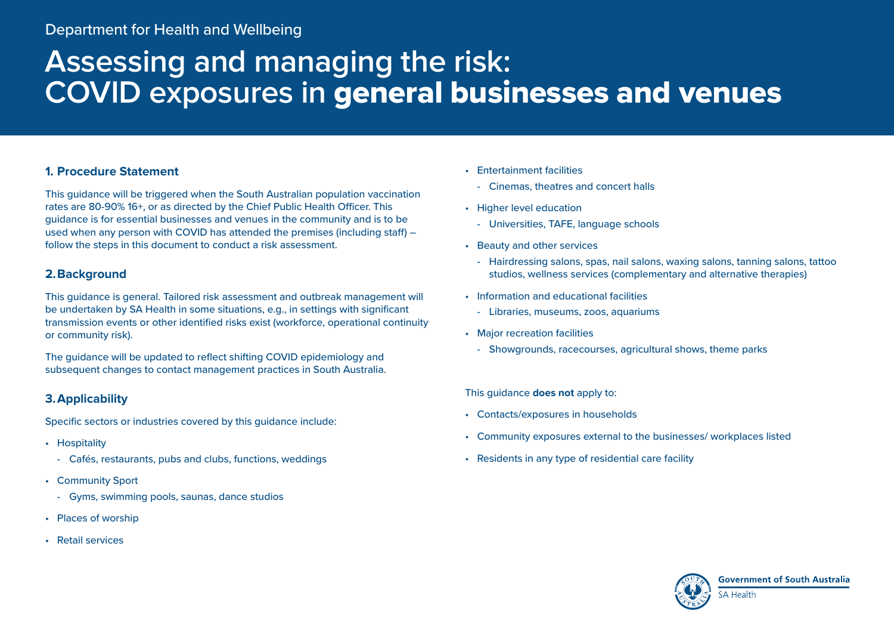# **Assessing and managing the risk: COVID exposures in** general businesses and venues

# **1. Procedure Statement**

This guidance will be triggered when the South Australian population vaccination rates are 80-90% 16+, or as directed by the Chief Public Health Officer. This guidance is for essential businesses and venues in the community and is to be used when any person with COVID has attended the premises (including staff) – follow the steps in this document to conduct a risk assessment.

# **2.Background**

This guidance is general. Tailored risk assessment and outbreak management will be undertaken by SA Health in some situations, e.g., in settings with significant transmission events or other identified risks exist (workforce, operational continuity or community risk).

The guidance will be updated to reflect shifting COVID epidemiology and subsequent changes to contact management practices in South Australia.

# **3.Applicability**

Specific sectors or industries covered by this guidance include:

- Hospitality
	- Cafés, restaurants, pubs and clubs, functions, weddings
- Community Sport
	- Gyms, swimming pools, saunas, dance studios
- Places of worship
- Retail services
- Entertainment facilities
	- Cinemas, theatres and concert halls
- Higher level education
	- Universities, TAFE, language schools
- Beauty and other services
	- Hairdressing salons, spas, nail salons, waxing salons, tanning salons, tattoo studios, wellness services (complementary and alternative therapies)
- Information and educational facilities
	- Libraries, museums, zoos, aquariums
- Major recreation facilities
	- Showgrounds, racecourses, agricultural shows, theme parks

## This guidance **does not** apply to:

- Contacts/exposures in households
- Community exposures external to the businesses/ workplaces listed
- Residents in any type of residential care facility

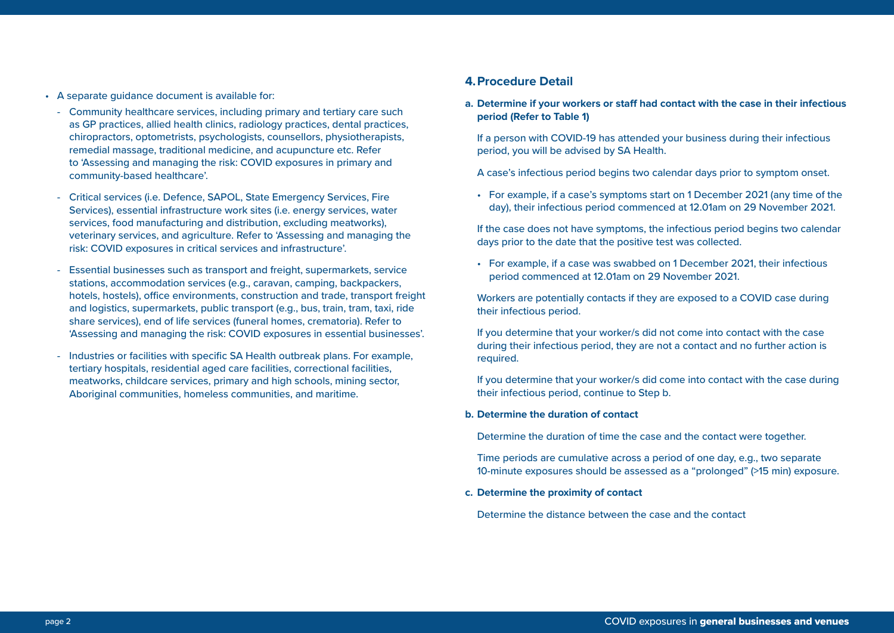- A separate guidance document is available for:
	- Community healthcare services, including primary and tertiary care such as GP practices, allied health clinics, radiology practices, dental practices, chiropractors, optometrists, psychologists, counsellors, physiotherapists, remedial massage, traditional medicine, and acupuncture etc. Refer to 'Assessing and managing the risk: COVID exposures in primary and community-based healthcare'.
	- Critical services (i.e. Defence, SAPOL, State Emergency Services, Fire Services), essential infrastructure work sites (i.e. energy services, water services, food manufacturing and distribution, excluding meatworks), veterinary services, and agriculture. Refer to 'Assessing and managing the risk: COVID exposures in critical services and infrastructure'.
	- Essential businesses such as transport and freight, supermarkets, service stations, accommodation services (e.g., caravan, camping, backpackers, hotels, hostels), office environments, construction and trade, transport freight and logistics, supermarkets, public transport (e.g., bus, train, tram, taxi, ride share services), end of life services (funeral homes, crematoria). Refer to 'Assessing and managing the risk: COVID exposures in essential businesses'.
	- Industries or facilities with specific SA Health outbreak plans. For example, tertiary hospitals, residential aged care facilities, correctional facilities, meatworks, childcare services, primary and high schools, mining sector, Aboriginal communities, homeless communities, and maritime.

### **4.Procedure Detail**

**a. Determine if your workers or staff had contact with the case in their infectious period (Refer to Table 1)**

If a person with COVID-19 has attended your business during their infectious period, you will be advised by SA Health.

A case's infectious period begins two calendar days prior to symptom onset.

• For example, if a case's symptoms start on 1 December 2021 (any time of the day), their infectious period commenced at 12.01am on 29 November 2021.

If the case does not have symptoms, the infectious period begins two calendar days prior to the date that the positive test was collected.

• For example, if a case was swabbed on 1 December 2021, their infectious period commenced at 12.01am on 29 November 2021.

Workers are potentially contacts if they are exposed to a COVID case during their infectious period.

If you determine that your worker/s did not come into contact with the case during their infectious period, they are not a contact and no further action is required.

If you determine that your worker/s did come into contact with the case during their infectious period, continue to Step b.

#### **b. Determine the duration of contact**

Determine the duration of time the case and the contact were together.

Time periods are cumulative across a period of one day, e.g., two separate 10-minute exposures should be assessed as a "prolonged" (>15 min) exposure.

#### **c. Determine the proximity of contact**

Determine the distance between the case and the contact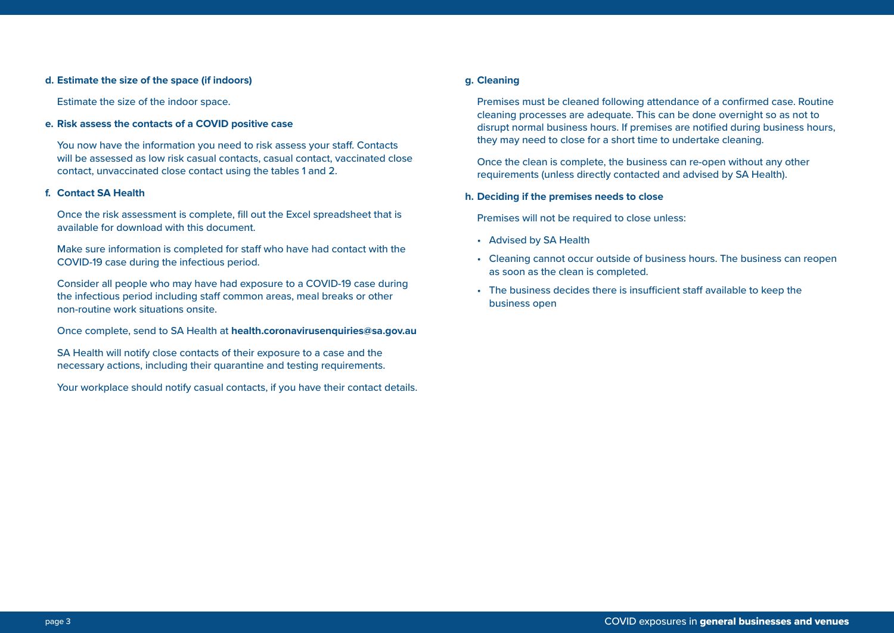#### **d. Estimate the size of the space (if indoors)**

Estimate the size of the indoor space.

#### **e. Risk assess the contacts of a COVID positive case**

You now have the information you need to risk assess your staff. Contacts will be assessed as low risk casual contacts, casual contact, vaccinated close contact, unvaccinated close contact using the tables 1 and 2.

#### **f. Contact SA Health**

Once the risk assessment is complete, fill out the Excel spreadsheet that is available for download with this document.

Make sure information is completed for staff who have had contact with the COVID-19 case during the infectious period.

Consider all people who may have had exposure to a COVID-19 case during the infectious period including staff common areas, meal breaks or other non-routine work situations onsite.

Once complete, send to SA Health at **[health.coronavirusenquiries@sa.gov.au](mailto:health.coronavirusenquiries@sa.gov.au)**

SA Health will notify close contacts of their exposure to a case and the necessary actions, including their quarantine and testing requirements.

Your workplace should notify casual contacts, if you have their contact details.

#### **g. Cleaning**

Premises must be cleaned following attendance of a confirmed case. Routine cleaning processes are adequate. This can be done overnight so as not to disrupt normal business hours. If premises are notified during business hours, they may need to close for a short time to undertake cleaning.

Once the clean is complete, the business can re-open without any other requirements (unless directly contacted and advised by SA Health).

#### **h. Deciding if the premises needs to close**

Premises will not be required to close unless:

- Advised by SA Health
- Cleaning cannot occur outside of business hours. The business can reopen as soon as the clean is completed.
- The business decides there is insufficient staff available to keep the business open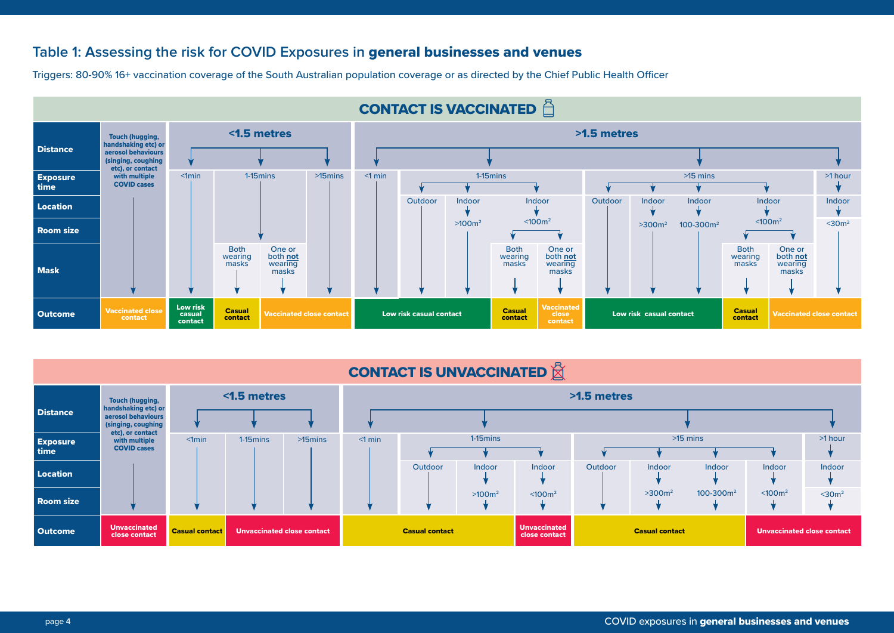# **Table 1: Assessing the risk for COVID Exposures in** general businesses and venues

Triggers: 80-90% 16+ vaccination coverage of the South Australian population coverage or as directed by the Chief Public Health Officer



| <b>CONTACT IS UNVACCINATED X</b> |                                                                                                               |             |                                   |            |                       |         |                    |                                      |                       |         |               |                                   |             |
|----------------------------------|---------------------------------------------------------------------------------------------------------------|-------------|-----------------------------------|------------|-----------------------|---------|--------------------|--------------------------------------|-----------------------|---------|---------------|-----------------------------------|-------------|
| <b>Distance</b>                  | <b>Touch (hugging,</b><br>handshaking etc) or<br>aerosol behaviours<br>(singing, coughing<br>etc), or contact | <1.5 metres |                                   |            |                       |         |                    |                                      | >1.5 metres           |         |               |                                   |             |
| <b>Exposure</b><br>time          | with multiple<br><b>COVID cases</b>                                                                           | $< 1$ min   | $1-15$ mins                       | $>15$ mins | $<$ 1 min             |         | 1-15 mins          |                                      |                       |         | $>15$ mins    |                                   | >1 hour     |
| Location                         |                                                                                                               |             |                                   |            |                       | Outdoor | <b>Indoor</b>      | Indoor                               | Outdoor               | Indoor  | <b>Indoor</b> | Indoor                            | Indoor      |
| <b>Room size</b>                 |                                                                                                               |             |                                   |            |                       |         | >100m <sup>2</sup> | < 100 <sup>m²</sup>                  |                       | $>3002$ | $100-300m^2$  | < 100 <sup>2</sup>                | $<$ 30 $m2$ |
| <b>Outcome</b>                   | <b>Unvaccinated</b><br><b>Casual contact</b><br>close contact                                                 |             | <b>Unvaccinated close contact</b> |            | <b>Casual contact</b> |         |                    | <b>Unvaccinated</b><br>close contact | <b>Casual contact</b> |         |               | <b>Unvaccinated close contact</b> |             |